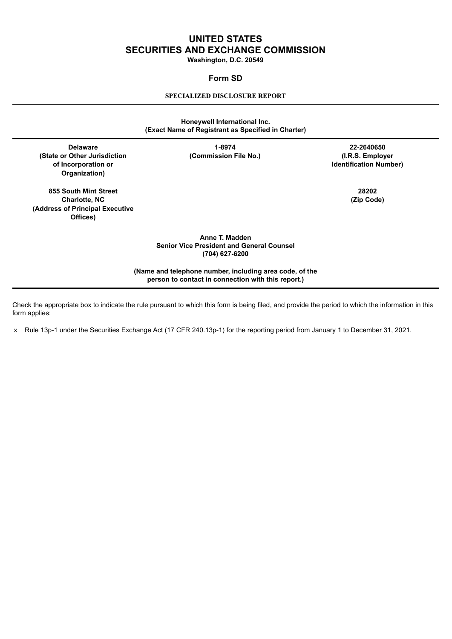# **UNITED STATES SECURITIES AND EXCHANGE COMMISSION**

**Washington, D.C. 20549**

# **Form SD**

## **SPECIALIZED DISCLOSURE REPORT**

# **Honeywell International Inc. (Exact Name of Registrant as Specified in Charter)**

**(State or Other Jurisdiction (Commission File No.) (I.R.S. Employer of Incorporation or Identification Number) Organization)**

**855 South Mint Street 28202 Charlotte, NC (Zip Code) (Address of Principal Executive Offices)**

**Delaware 1-8974 22-2640650**

**Anne T. Madden Senior Vice President and General Counsel (704) 627-6200**

**(Name and telephone number, including area code, of the person to contact in connection with this report.)**

Check the appropriate box to indicate the rule pursuant to which this form is being filed, and provide the period to which the information in this form applies:

x Rule 13p-1 under the Securities Exchange Act (17 CFR 240.13p-1) for the reporting period from January 1 to December 31, 2021.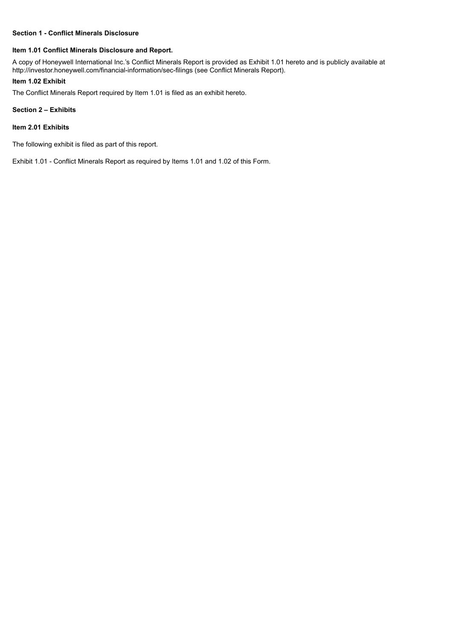### **Section 1 - Conflict Minerals Disclosure**

### **Item 1.01 Conflict Minerals Disclosure and Report.**

A copy of Honeywell International Inc.'s Conflict Minerals Report is provided as Exhibit 1.01 hereto and is publicly available at http://investor.honeywell.com/financial-information/sec-filings (see Conflict Minerals Report).

### **Item 1.02 Exhibit**

The Conflict Minerals Report required by Item 1.01 is filed as an exhibit hereto.

#### **Section 2 – Exhibits**

### **Item 2.01 Exhibits**

The following exhibit is filed as part of this report.

Exhibit 1.01 - Conflict Minerals Report as required by Items 1.01 and 1.02 of this Form.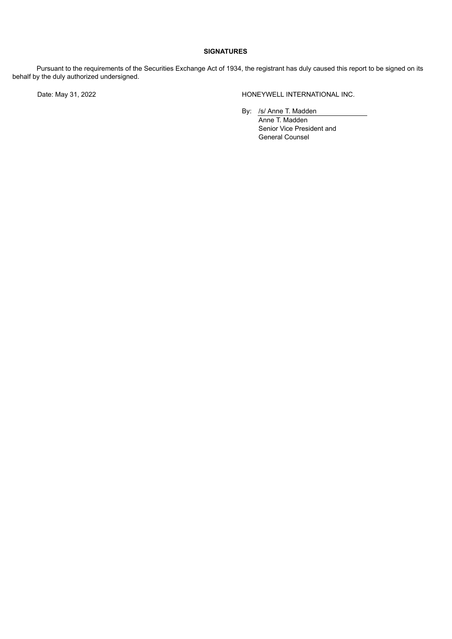# **SIGNATURES**

Pursuant to the requirements of the Securities Exchange Act of 1934, the registrant has duly caused this report to be signed on its behalf by the duly authorized undersigned.

Date: May 31, 2022 **Example 20 Accord 20 Accord 20 Accord 20 Accord 20 Accord 20 Accord 20 Accord 20 Accord 20 Accord 20 Accord 20 Accord 20 Accord 20 Accord 20 Accord 20 Accord 20 Accord 20 Accord 20 Accord 20 Accord 20 A** 

By: /s/ Anne T. Madden

Anne T. Madden Senior Vice President and General Counsel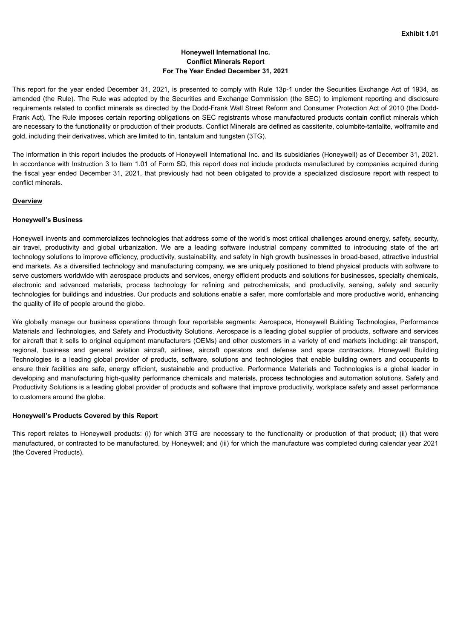# **Honeywell International Inc. Conflict Minerals Report For The Year Ended December 31, 2021**

This report for the year ended December 31, 2021, is presented to comply with Rule 13p-1 under the Securities Exchange Act of 1934, as amended (the Rule). The Rule was adopted by the Securities and Exchange Commission (the SEC) to implement reporting and disclosure requirements related to conflict minerals as directed by the Dodd-Frank Wall Street Reform and Consumer Protection Act of 2010 (the Dodd-Frank Act). The Rule imposes certain reporting obligations on SEC registrants whose manufactured products contain conflict minerals which are necessary to the functionality or production of their products. Conflict Minerals are defined as cassiterite, columbite-tantalite, wolframite and gold, including their derivatives, which are limited to tin, tantalum and tungsten (3TG).

The information in this report includes the products of Honeywell International Inc. and its subsidiaries (Honeywell) as of December 31, 2021. In accordance with Instruction 3 to Item 1.01 of Form SD, this report does not include products manufactured by companies acquired during the fiscal year ended December 31, 2021, that previously had not been obligated to provide a specialized disclosure report with respect to conflict minerals.

# **Overview**

### **Honeywell's Business**

Honeywell invents and commercializes technologies that address some of the world's most critical challenges around energy, safety, security, air travel, productivity and global urbanization. We are a leading software industrial company committed to introducing state of the art technology solutions to improve efficiency, productivity, sustainability, and safety in high growth businesses in broad-based, attractive industrial end markets. As a diversified technology and manufacturing company, we are uniquely positioned to blend physical products with software to serve customers worldwide with aerospace products and services, energy efficient products and solutions for businesses, specialty chemicals, electronic and advanced materials, process technology for refining and petrochemicals, and productivity, sensing, safety and security technologies for buildings and industries. Our products and solutions enable a safer, more comfortable and more productive world, enhancing the quality of life of people around the globe.

We globally manage our business operations through four reportable segments: Aerospace, Honeywell Building Technologies, Performance Materials and Technologies, and Safety and Productivity Solutions. Aerospace is a leading global supplier of products, software and services for aircraft that it sells to original equipment manufacturers (OEMs) and other customers in a variety of end markets including: air transport, regional, business and general aviation aircraft, airlines, aircraft operators and defense and space contractors. Honeywell Building Technologies is a leading global provider of products, software, solutions and technologies that enable building owners and occupants to ensure their facilities are safe, energy efficient, sustainable and productive. Performance Materials and Technologies is a global leader in developing and manufacturing high-quality performance chemicals and materials, process technologies and automation solutions. Safety and Productivity Solutions is a leading global provider of products and software that improve productivity, workplace safety and asset performance to customers around the globe.

# **Honeywell's Products Covered by this Report**

This report relates to Honeywell products: (i) for which 3TG are necessary to the functionality or production of that product; (ii) that were manufactured, or contracted to be manufactured, by Honeywell; and (iii) for which the manufacture was completed during calendar year 2021 (the Covered Products).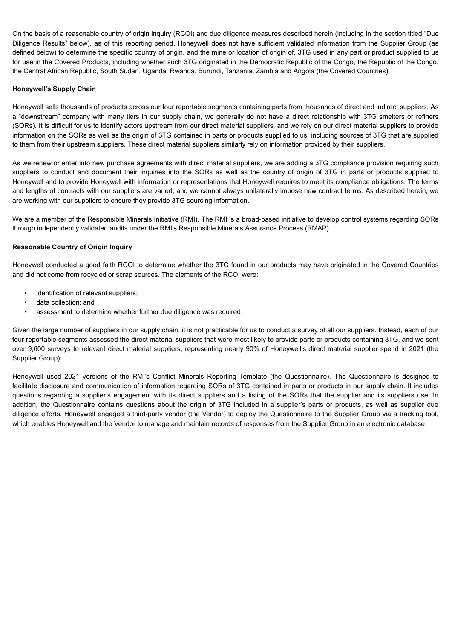On the basis of a reasonable country of origin inquiry (RCOI) and due diligence measures described herein (including in the section titled "Due Diligence Results" below), as of this reporting period, Honeywell does not have sufficient validated information from the Supplier Group (as defined below) to determine the specific country of origin, and the mine or location of origin of, 3TG used in any part or product supplied to us for use in the Covered Products, including whether such 3TG originated in the Democratic Republic of the Congo, the Republic of the Congo, the Central African Republic, South Sudan, Uganda, Rwanda, Burundi, Tanzania, Zambia and Angola (the Covered Countries).

# **Honeywell's Supply Chain**

Honeywell sells thousands of products across our four reportable segments containing parts from thousands of direct and indirect suppliers. As a "downstream" company with many tiers in our supply chain, we generally do not have a direct relationship with 3TG smelters or refiners (SORs). It is difficult for us to identify actors upstream from our direct material suppliers, and we rely on our direct material suppliers to provide information on the SORs as well as the origin of 3TG contained in parts or products supplied to us, including sources of 3TG that are supplied to them from their upstream suppliers. These direct material suppliers similarly rely on information provided by their suppliers.

As we renew or enter into new purchase agreements with direct material suppliers, we are adding a 3TG compliance provision requiring such suppliers to conduct and document their inquiries into the SORs as well as the country of origin of 3TG in parts or products supplied to Honeywell and to provide Honeywell with information or representations that Honeywell requires to meet its compliance obligations. The terms and lengths of contracts with our suppliers are varied, and we cannot always unilaterally impose new contract terms. As described herein, we are working with our suppliers to ensure they provide 3TG sourcing information.

We are a member of the Responsible Minerals Initiative (RMI). The RMI is a broad-based initiative to develop control systems regarding SORs through independently validated audits under the RMI's Responsible Minerals Assurance Process (RMAP).

# **Reasonable Country of Origin Inquiry**

Honeywell conducted a good faith RCOI to determine whether the 3TG found in our products may have originated in the Covered Countries and did not come from recycled or scrap sources. The elements of the RCOI were:

- identification of relevant suppliers;
- data collection; and
- assessment to determine whether further due diligence was required.

Given the large number of suppliers in our supply chain, it is not practicable for us to conduct a survey of all our suppliers. Instead, each of our four reportable segments assessed the direct material suppliers that were most likely to provide parts or products containing 3TG, and we sent over 9,600 surveys to relevant direct material suppliers, representing nearly 90% of Honeywell's direct material supplier spend in 2021 (the Supplier Group).

Honeywell used 2021 versions of the RMI's Conflict Minerals Reporting Template (the Questionnaire). The Questionnaire is designed to facilitate disclosure and communication of information regarding SORs of 3TG contained in parts or products in our supply chain. It includes questions regarding a supplier's engagement with its direct suppliers and a listing of the SORs that the supplier and its suppliers use. In addition, the Questionnaire contains questions about the origin of 3TG included in a supplier's parts or products, as well as supplier due diligence efforts. Honeywell engaged a third-party vendor (the Vendor) to deploy the Questionnaire to the Supplier Group via a tracking tool, which enables Honeywell and the Vendor to manage and maintain records of responses from the Supplier Group in an electronic database.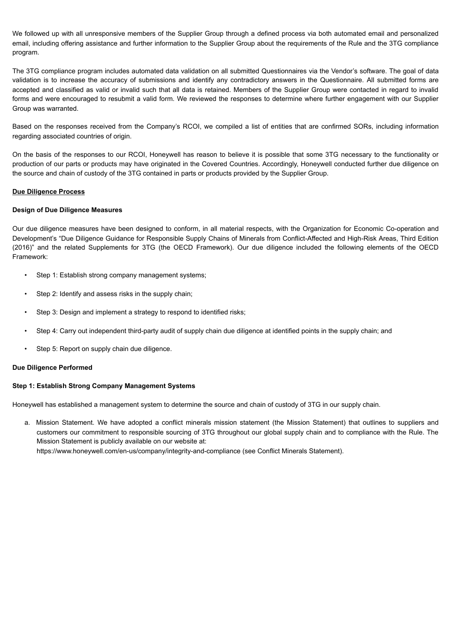We followed up with all unresponsive members of the Supplier Group through a defined process via both automated email and personalized email, including offering assistance and further information to the Supplier Group about the requirements of the Rule and the 3TG compliance program.

The 3TG compliance program includes automated data validation on all submitted Questionnaires via the Vendor's software. The goal of data validation is to increase the accuracy of submissions and identify any contradictory answers in the Questionnaire. All submitted forms are accepted and classified as valid or invalid such that all data is retained. Members of the Supplier Group were contacted in regard to invalid forms and were encouraged to resubmit a valid form. We reviewed the responses to determine where further engagement with our Supplier Group was warranted.

Based on the responses received from the Company's RCOI, we compiled a list of entities that are confirmed SORs, including information regarding associated countries of origin.

On the basis of the responses to our RCOI, Honeywell has reason to believe it is possible that some 3TG necessary to the functionality or production of our parts or products may have originated in the Covered Countries. Accordingly, Honeywell conducted further due diligence on the source and chain of custody of the 3TG contained in parts or products provided by the Supplier Group.

# **Due Diligence Process**

# **Design of Due Diligence Measures**

Our due diligence measures have been designed to conform, in all material respects, with the Organization for Economic Co-operation and Development's "Due Diligence Guidance for Responsible Supply Chains of Minerals from Conflict-Affected and High-Risk Areas, Third Edition (2016)" and the related Supplements for 3TG (the OECD Framework). Our due diligence included the following elements of the OECD Framework:

- Step 1: Establish strong company management systems;
- Step 2: Identify and assess risks in the supply chain;
- Step 3: Design and implement a strategy to respond to identified risks;
- Step 4: Carry out independent third-party audit of supply chain due diligence at identified points in the supply chain; and
- Step 5: Report on supply chain due diligence.

#### **Due Diligence Performed**

#### **Step 1: Establish Strong Company Management Systems**

Honeywell has established a management system to determine the source and chain of custody of 3TG in our supply chain.

a. Mission Statement. We have adopted a conflict minerals mission statement (the Mission Statement) that outlines to suppliers and customers our commitment to responsible sourcing of 3TG throughout our global supply chain and to compliance with the Rule. The Mission Statement is publicly available on our website at: https://www.honeywell.com/en-us/company/integrity-and-compliance (see Conflict Minerals Statement).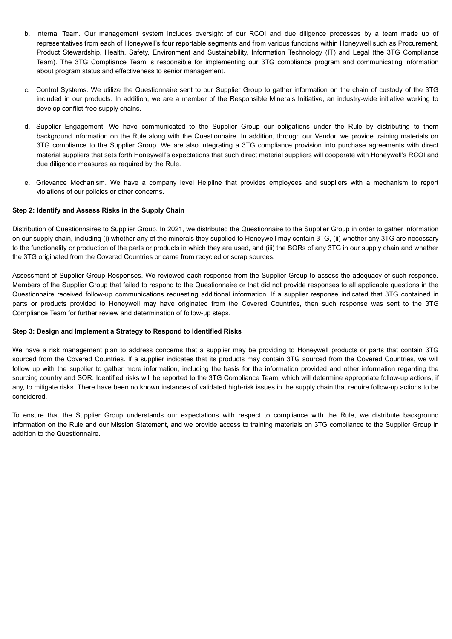- b. Internal Team. Our management system includes oversight of our RCOI and due diligence processes by a team made up of representatives from each of Honeywell's four reportable segments and from various functions within Honeywell such as Procurement, Product Stewardship, Health, Safety, Environment and Sustainability, Information Technology (IT) and Legal (the 3TG Compliance Team). The 3TG Compliance Team is responsible for implementing our 3TG compliance program and communicating information about program status and effectiveness to senior management.
- c. Control Systems. We utilize the Questionnaire sent to our Supplier Group to gather information on the chain of custody of the 3TG included in our products. In addition, we are a member of the Responsible Minerals Initiative, an industry-wide initiative working to develop conflict-free supply chains.
- d. Supplier Engagement. We have communicated to the Supplier Group our obligations under the Rule by distributing to them background information on the Rule along with the Questionnaire. In addition, through our Vendor, we provide training materials on 3TG compliance to the Supplier Group. We are also integrating a 3TG compliance provision into purchase agreements with direct material suppliers that sets forth Honeywell's expectations that such direct material suppliers will cooperate with Honeywell's RCOI and due diligence measures as required by the Rule.
- e. Grievance Mechanism. We have a company level Helpline that provides employees and suppliers with a mechanism to report violations of our policies or other concerns.

# **Step 2: Identify and Assess Risks in the Supply Chain**

Distribution of Questionnaires to Supplier Group. In 2021, we distributed the Questionnaire to the Supplier Group in order to gather information on our supply chain, including (i) whether any of the minerals they supplied to Honeywell may contain 3TG, (ii) whether any 3TG are necessary to the functionality or production of the parts or products in which they are used, and (iii) the SORs of any 3TG in our supply chain and whether the 3TG originated from the Covered Countries or came from recycled or scrap sources.

Assessment of Supplier Group Responses. We reviewed each response from the Supplier Group to assess the adequacy of such response. Members of the Supplier Group that failed to respond to the Questionnaire or that did not provide responses to all applicable questions in the Questionnaire received follow-up communications requesting additional information. If a supplier response indicated that 3TG contained in parts or products provided to Honeywell may have originated from the Covered Countries, then such response was sent to the 3TG Compliance Team for further review and determination of follow-up steps.

#### **Step 3: Design and Implement a Strategy to Respond to Identified Risks**

We have a risk management plan to address concerns that a supplier may be providing to Honeywell products or parts that contain 3TG sourced from the Covered Countries. If a supplier indicates that its products may contain 3TG sourced from the Covered Countries, we will follow up with the supplier to gather more information, including the basis for the information provided and other information regarding the sourcing country and SOR. Identified risks will be reported to the 3TG Compliance Team, which will determine appropriate follow-up actions, if any, to mitigate risks. There have been no known instances of validated high-risk issues in the supply chain that require follow-up actions to be considered.

To ensure that the Supplier Group understands our expectations with respect to compliance with the Rule, we distribute background information on the Rule and our Mission Statement, and we provide access to training materials on 3TG compliance to the Supplier Group in addition to the Questionnaire.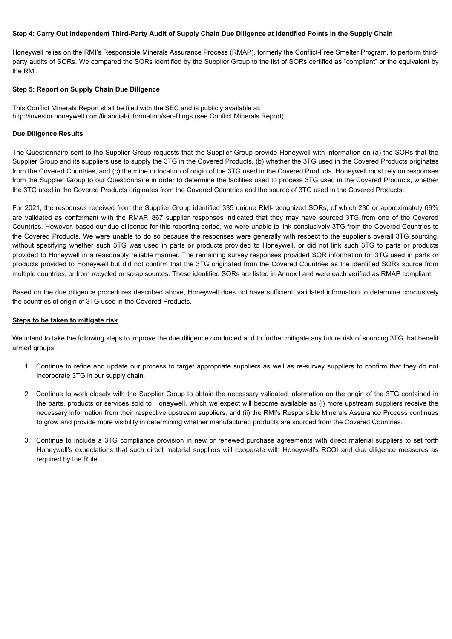#### Step 4: Carry Out Independent Third-Party Audit of Supply Chain Due Diligence at Identified Points in the Supply Chain

Honeywell relies on the RMI's Responsible Minerals Assurance Process (RMAP), formerly the Conflict-Free Smelter Program, to perform thirdparty audits of SORs. We compared the SORs identified by the Supplier Group to the list of SORs certified as "compliant" or the equivalent by the RMI.

#### **Step 5: Report on Supply Chain Due Diligence**

This Conflict Minerals Report shall be filed with the SEC and is publicly available at: http://investor.honeywell.com/financial-information/sec-filings (see Conflict Minerals Report)

### **Due Diligence Results**

The Questionnaire sent to the Supplier Group requests that the Supplier Group provide Honeywell with information on (a) the SORs that the Supplier Group and its suppliers use to supply the 3TG in the Covered Products, (b) whether the 3TG used in the Covered Products originates from the Covered Countries, and (c) the mine or location of origin of the 3TG used in the Covered Products. Honeywell must rely on responses from the Supplier Group to our Questionnaire in order to determine the facilities used to process 3TG used in the Covered Products, whether the 3TG used in the Covered Products originates from the Covered Countries and the source of 3TG used in the Covered Products.

For 2021, the responses received from the Supplier Group identified 335 unique RMI-recognized SORs, of which 230 or approximately 69% are validated as conformant with the RMAP. 867 supplier responses indicated that they may have sourced 3TG from one of the Covered Countries. However, based our due diligence for this reporting period, we were unable to link conclusively 3TG from the Covered Countries to the Covered Products. We were unable to do so because the responses were generally with respect to the supplier's overall 3TG sourcing, without specifying whether such 3TG was used in parts or products provided to Honeywell, or did not link such 3TG to parts or products provided to Honeywell in a reasonably reliable manner. The remaining survey responses provided SOR information for 3TG used in parts or products provided to Honeywell but did not confirm that the 3TG originated from the Covered Countries as the identified SORs source from multiple countries, or from recycled or scrap sources. These identified SORs are listed in Annex I and were each verified as RMAP compliant.

Based on the due diligence procedures described above, Honeywell does not have sufficient, validated information to determine conclusively the countries of origin of 3TG used in the Covered Products.

#### **Steps to be taken to mitigate risk**

We intend to take the following steps to improve the due diligence conducted and to further mitigate any future risk of sourcing 3TG that benefit armed groups:

- 1. Continue to refine and update our process to target appropriate suppliers as well as re-survey suppliers to confirm that they do not incorporate 3TG in our supply chain.
- 2. Continue to work closely with the Supplier Group to obtain the necessary validated information on the origin of the 3TG contained in the parts, products or services sold to Honeywell, which we expect will become available as (i) more upstream suppliers receive the necessary information from their respective upstream suppliers, and (ii) the RMI's Responsible Minerals Assurance Process continues to grow and provide more visibility in determining whether manufactured products are sourced from the Covered Countries.
- 3. Continue to include a 3TG compliance provision in new or renewed purchase agreements with direct material suppliers to set forth Honeywell's expectations that such direct material suppliers will cooperate with Honeywell's RCOI and due diligence measures as required by the Rule.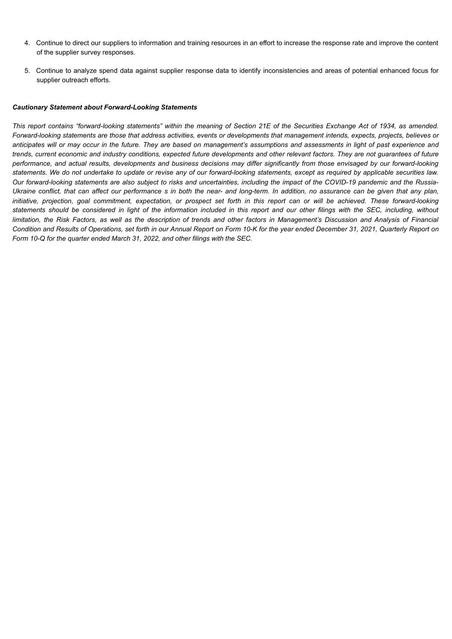- 4. Continue to direct our suppliers to information and training resources in an effort to increase the response rate and improve the content of the supplier survey responses.
- 5. Continue to analyze spend data against supplier response data to identify inconsistencies and areas of potential enhanced focus for supplier outreach efforts.

### *Cautionary Statement about Forward-Looking Statements*

This report contains "forward-looking statements" within the meaning of Section 21E of the Securities Exchange Act of 1934, as amended. Forward-looking statements are those that address activities, events or developments that management intends, expects, projects, believes or anticipates will or may occur in the future. They are based on management's assumptions and assessments in light of past experience and trends, current economic and industry conditions, expected future developments and other relevant factors. They are not guarantees of future performance, and actual results, developments and business decisions may differ significantly from those envisaged by our forward-looking statements. We do not undertake to update or revise any of our forward-looking statements, except as required by applicable securities law. Our forward-looking statements are also subject to risks and uncertainties, including the impact of the COVID-19 pandemic and the Russia-Ukraine conflict, that can affect our performance s in both the near- and long-term. In addition, no assurance can be given that any plan, initiative, projection, goal commitment, expectation, or prospect set forth in this report can or will be achieved. These forward-looking statements should be considered in light of the information included in this report and our other filings with the SEC, including, without limitation, the Risk Factors, as well as the description of trends and other factors in Management's Discussion and Analysis of Financial Condition and Results of Operations, set forth in our Annual Report on Form 10-K for the year ended December 31, 2021, Quarterly Report on *Form 10-Q for the quarter ended March 31, 2022, and other filings with the SEC.*